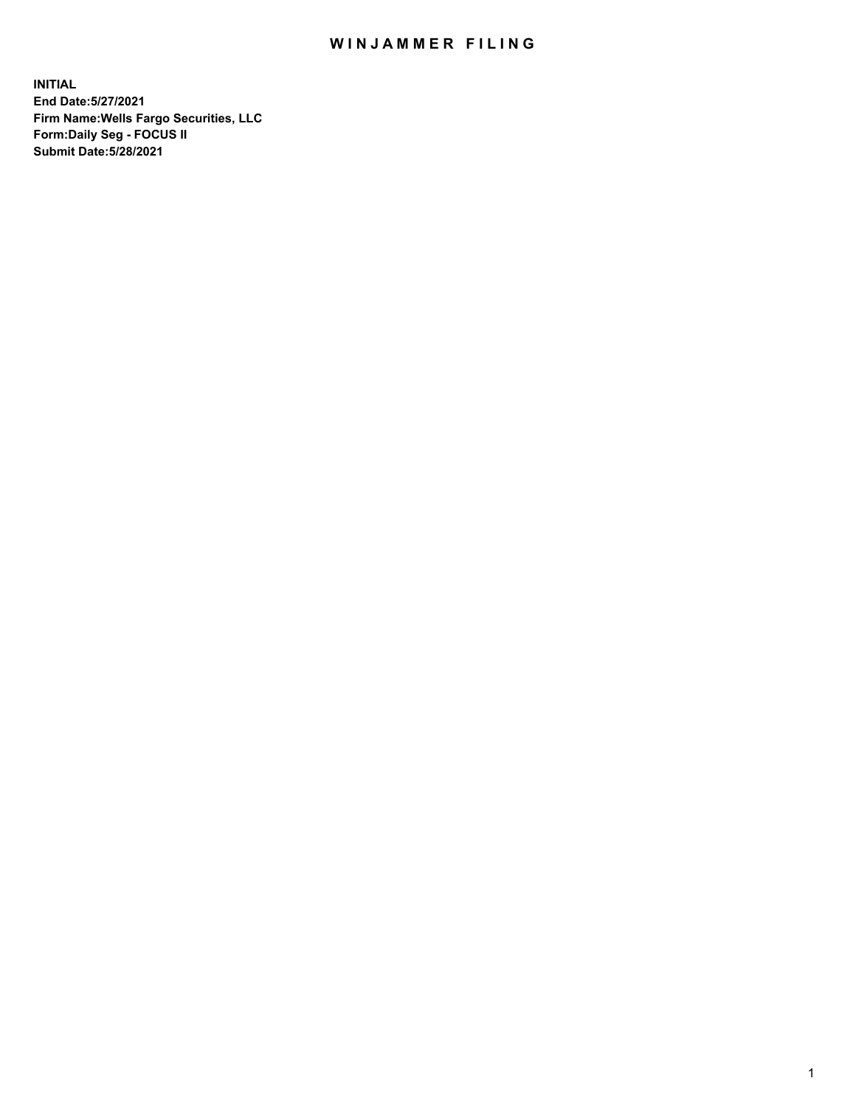## WIN JAMMER FILING

**INITIAL End Date:5/27/2021 Firm Name:Wells Fargo Securities, LLC Form:Daily Seg - FOCUS II Submit Date:5/28/2021**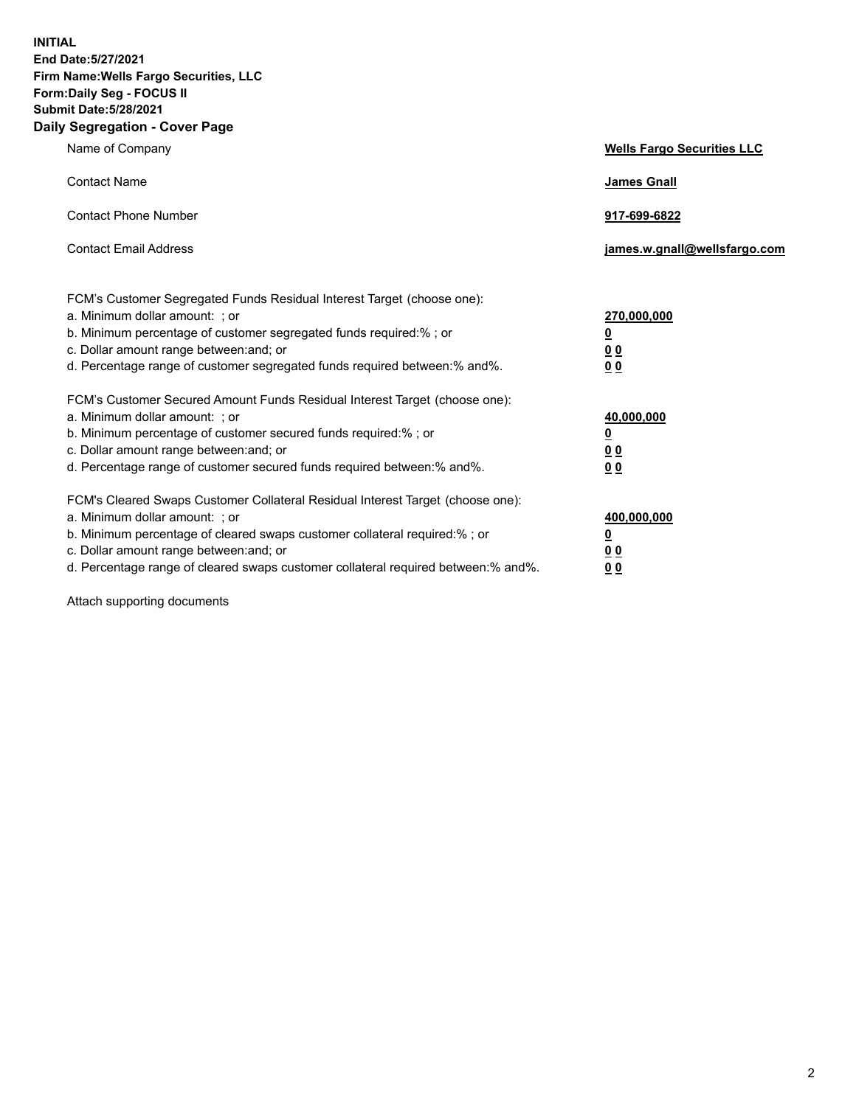**INITIAL End Date:5/27/2021 Firm Name:Wells Fargo Securities, LLC Form:Daily Seg - FOCUS II Submit Date:5/28/2021 Daily Segregation - Cover Page**

| Name of Company                                                                                                                                                                                                                                                                                                                | <b>Wells Fargo Securities LLC</b>                              |
|--------------------------------------------------------------------------------------------------------------------------------------------------------------------------------------------------------------------------------------------------------------------------------------------------------------------------------|----------------------------------------------------------------|
| <b>Contact Name</b>                                                                                                                                                                                                                                                                                                            | <b>James Gnall</b>                                             |
| <b>Contact Phone Number</b>                                                                                                                                                                                                                                                                                                    | 917-699-6822                                                   |
| <b>Contact Email Address</b>                                                                                                                                                                                                                                                                                                   | james.w.gnall@wellsfargo.com                                   |
| FCM's Customer Segregated Funds Residual Interest Target (choose one):<br>a. Minimum dollar amount: ; or<br>b. Minimum percentage of customer segregated funds required:% ; or<br>c. Dollar amount range between: and; or<br>d. Percentage range of customer segregated funds required between:% and%.                         | 270,000,000<br>$\overline{\mathbf{0}}$<br>0 <sub>0</sub><br>00 |
| FCM's Customer Secured Amount Funds Residual Interest Target (choose one):<br>a. Minimum dollar amount: ; or<br>b. Minimum percentage of customer secured funds required:% ; or<br>c. Dollar amount range between: and; or<br>d. Percentage range of customer secured funds required between:% and%.                           | 40,000,000<br><u>0</u><br>00<br>0 <sub>0</sub>                 |
| FCM's Cleared Swaps Customer Collateral Residual Interest Target (choose one):<br>a. Minimum dollar amount: ; or<br>b. Minimum percentage of cleared swaps customer collateral required:% ; or<br>c. Dollar amount range between: and; or<br>d. Percentage range of cleared swaps customer collateral required between:% and%. | 400,000,000<br><u>0</u><br>0 <sub>0</sub><br>00                |

Attach supporting documents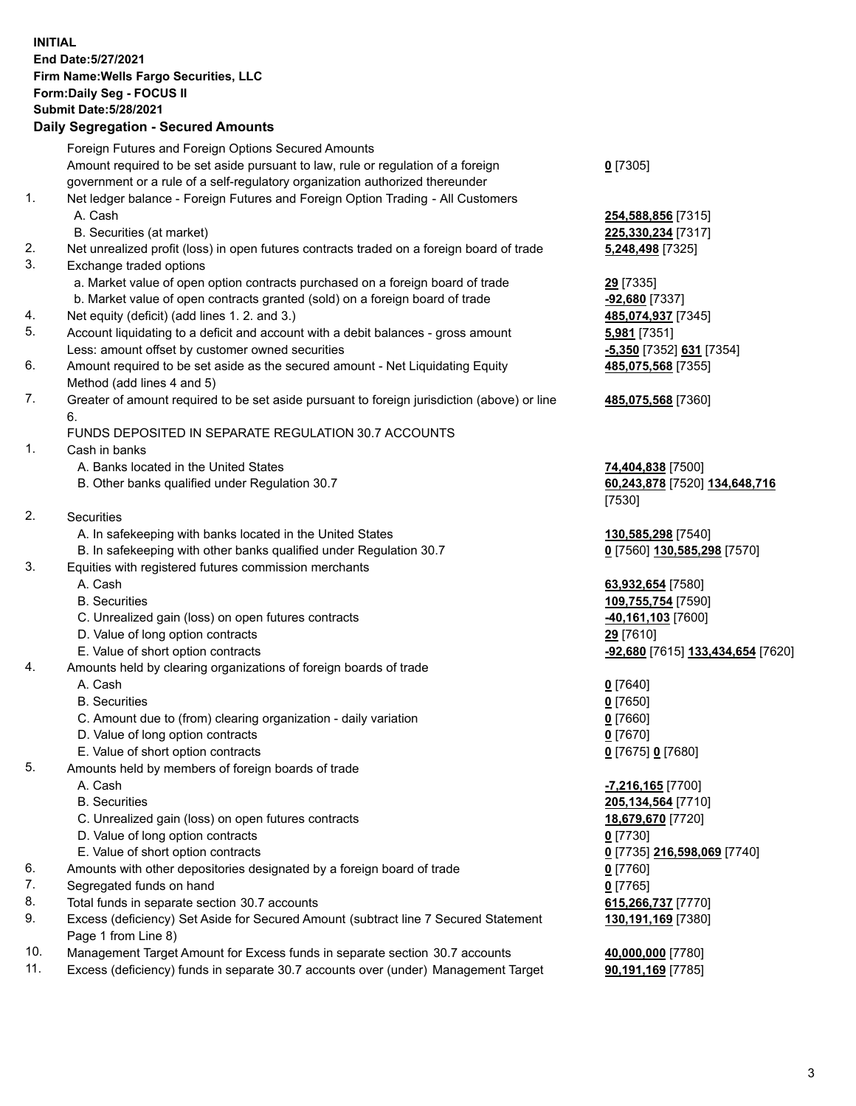**INITIAL End Date:5/27/2021 Firm Name:Wells Fargo Securities, LLC Form:Daily Seg - FOCUS II Submit Date:5/28/2021**

## **Daily Segregation - Secured Amounts**

|    | Foreign Futures and Foreign Options Secured Amounts                                         |                                   |
|----|---------------------------------------------------------------------------------------------|-----------------------------------|
|    | Amount required to be set aside pursuant to law, rule or regulation of a foreign            | $0$ [7305]                        |
|    | government or a rule of a self-regulatory organization authorized thereunder                |                                   |
| 1. | Net ledger balance - Foreign Futures and Foreign Option Trading - All Customers             |                                   |
|    | A. Cash                                                                                     | 254,588,856 [7315]                |
|    | B. Securities (at market)                                                                   | 225,330,234 [7317]                |
| 2. | Net unrealized profit (loss) in open futures contracts traded on a foreign board of trade   | 5,248,498 [7325]                  |
| 3. | Exchange traded options                                                                     |                                   |
|    | a. Market value of open option contracts purchased on a foreign board of trade              | 29 [7335]                         |
|    | b. Market value of open contracts granted (sold) on a foreign board of trade                | $-92,680$ [7337]                  |
| 4. | Net equity (deficit) (add lines 1. 2. and 3.)                                               | 485,074,937 [7345]                |
| 5. | Account liquidating to a deficit and account with a debit balances - gross amount           | 5,981 [7351]                      |
|    | Less: amount offset by customer owned securities                                            | -5,350 [7352] 631 [7354]          |
| 6. | Amount required to be set aside as the secured amount - Net Liquidating Equity              | 485,075,568 [7355]                |
|    | Method (add lines 4 and 5)                                                                  |                                   |
| 7. | Greater of amount required to be set aside pursuant to foreign jurisdiction (above) or line | 485,075,568 [7360]                |
|    | 6.                                                                                          |                                   |
|    | FUNDS DEPOSITED IN SEPARATE REGULATION 30.7 ACCOUNTS                                        |                                   |
| 1. | Cash in banks                                                                               |                                   |
|    | A. Banks located in the United States                                                       | 74,404,838 [7500]                 |
|    | B. Other banks qualified under Regulation 30.7                                              | 60,243,878 [7520] 134,648,716     |
|    |                                                                                             | [7530]                            |
| 2. | Securities                                                                                  |                                   |
|    | A. In safekeeping with banks located in the United States                                   | 130,585,298 [7540]                |
|    | B. In safekeeping with other banks qualified under Regulation 30.7                          | 0 [7560] 130,585,298 [7570]       |
| 3. | Equities with registered futures commission merchants                                       |                                   |
|    | A. Cash                                                                                     | 63,932,654 [7580]                 |
|    | <b>B.</b> Securities                                                                        | 109,755,754 [7590]                |
|    | C. Unrealized gain (loss) on open futures contracts                                         | 40,161,103 [7600]                 |
|    | D. Value of long option contracts                                                           | 29 [7610]                         |
|    | E. Value of short option contracts                                                          | -92,680 [7615] 133,434,654 [7620] |
| 4. | Amounts held by clearing organizations of foreign boards of trade                           |                                   |
|    | A. Cash                                                                                     | $0$ [7640]                        |
|    | <b>B.</b> Securities                                                                        | $0$ [7650]                        |
|    | C. Amount due to (from) clearing organization - daily variation                             | $0$ [7660]                        |
|    | D. Value of long option contracts                                                           | $0$ [7670]                        |
|    | E. Value of short option contracts                                                          | 0 [7675] 0 [7680]                 |
| 5. | Amounts held by members of foreign boards of trade                                          |                                   |
|    | A. Cash                                                                                     | -7,216,165 [7700]                 |
|    | <b>B.</b> Securities                                                                        | 205,134,564 [7710]                |
|    | C. Unrealized gain (loss) on open futures contracts                                         | 18,679,670 [7720]                 |
|    | D. Value of long option contracts                                                           | $0$ [7730]                        |
|    | E. Value of short option contracts                                                          | 0 [7735] 216,598,069 [7740]       |
| 6. | Amounts with other depositories designated by a foreign board of trade                      | 0 [7760]                          |
| 7. | Segregated funds on hand                                                                    | $0$ [7765]                        |
| 8. | Total funds in separate section 30.7 accounts                                               | 615,266,737 [7770]                |
| 9. | Excess (deficiency) Set Aside for Secured Amount (subtract line 7 Secured Statement         | 130,191,169 [7380]                |
|    | Page 1 from Line 8)                                                                         |                                   |

- 10. Management Target Amount for Excess funds in separate section 30.7 accounts **40,000,000** [7780]
- 11. Excess (deficiency) funds in separate 30.7 accounts over (under) Management Target **90,191,169** [7785]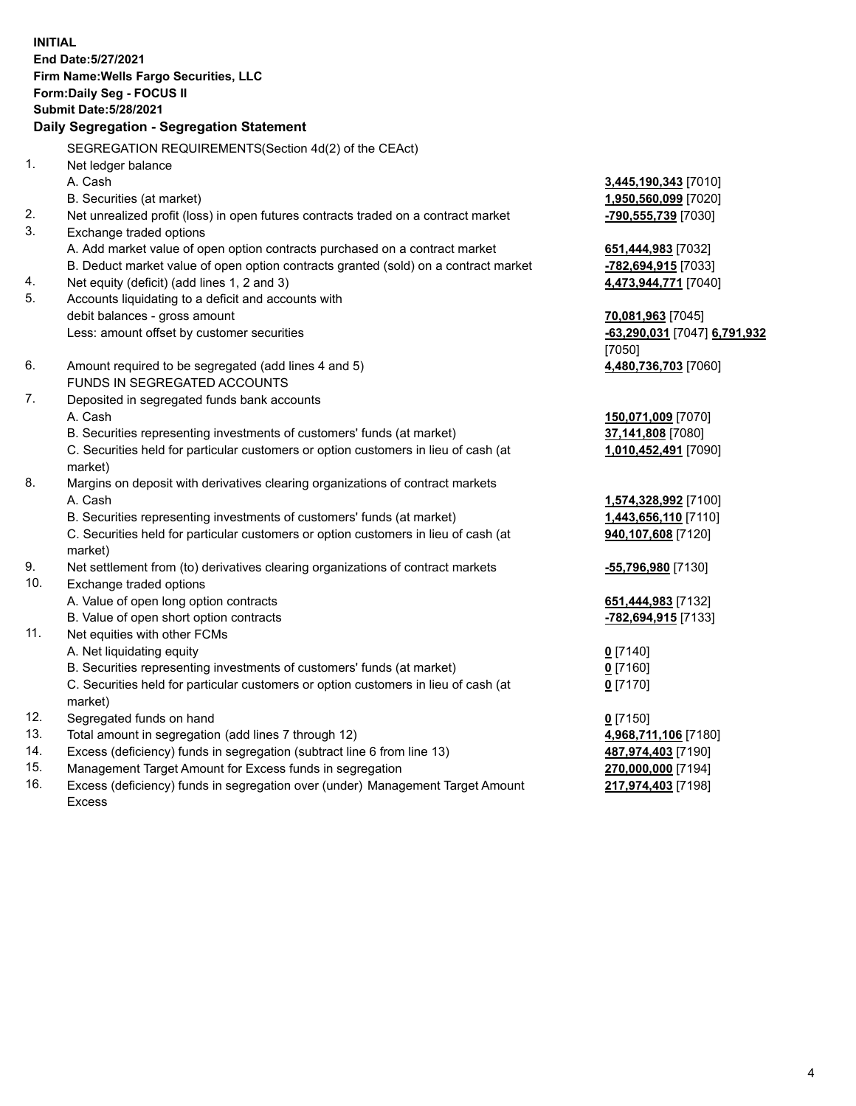**INITIAL End Date:5/27/2021 Firm Name:Wells Fargo Securities, LLC Form:Daily Seg - FOCUS II Submit Date:5/28/2021**

## **Daily Segregation - Segregation Statement**

SEGREGATION REQUIREMENTS(Section 4d(2) of the CEAct)

|     | <u>SLGINLOATION INLQUINLIVILIVI SISECIIDII 4012) UI IIIE CLACIJ</u>                 |                              |
|-----|-------------------------------------------------------------------------------------|------------------------------|
| 1.  | Net ledger balance                                                                  |                              |
|     | A. Cash                                                                             | 3,445,190,343 [7010]         |
|     | B. Securities (at market)                                                           | 1,950,560,099 [7020]         |
| 2.  | Net unrealized profit (loss) in open futures contracts traded on a contract market  | -790,555,739 [7030]          |
| 3.  | Exchange traded options                                                             |                              |
|     | A. Add market value of open option contracts purchased on a contract market         | 651,444,983 [7032]           |
|     | B. Deduct market value of open option contracts granted (sold) on a contract market | -782,694,915 [7033]          |
| 4.  | Net equity (deficit) (add lines 1, 2 and 3)                                         | 4,473,944,771 [7040]         |
| 5.  | Accounts liquidating to a deficit and accounts with                                 |                              |
|     | debit balances - gross amount                                                       | 70,081,963 [7045]            |
|     | Less: amount offset by customer securities                                          | -63,290,031 [7047] 6,791,932 |
|     |                                                                                     | [7050]                       |
| 6.  | Amount required to be segregated (add lines 4 and 5)                                | 4,480,736,703 [7060]         |
|     | FUNDS IN SEGREGATED ACCOUNTS                                                        |                              |
| 7.  | Deposited in segregated funds bank accounts                                         |                              |
|     | A. Cash                                                                             | 150,071,009 [7070]           |
|     | B. Securities representing investments of customers' funds (at market)              | 37,141,808 [7080]            |
|     | C. Securities held for particular customers or option customers in lieu of cash (at | 1,010,452,491 [7090]         |
|     | market)                                                                             |                              |
| 8.  | Margins on deposit with derivatives clearing organizations of contract markets      |                              |
|     | A. Cash                                                                             | 1,574,328,992 [7100]         |
|     | B. Securities representing investments of customers' funds (at market)              | 1,443,656,110 [7110]         |
|     | C. Securities held for particular customers or option customers in lieu of cash (at | 940,107,608 [7120]           |
|     | market)                                                                             |                              |
| 9.  | Net settlement from (to) derivatives clearing organizations of contract markets     | -55,796,980 [7130]           |
| 10. | Exchange traded options                                                             |                              |
|     | A. Value of open long option contracts                                              | 651,444,983 [7132]           |
|     | B. Value of open short option contracts                                             | -782,694,915 [7133]          |
| 11. | Net equities with other FCMs                                                        |                              |
|     | A. Net liquidating equity                                                           | $0$ [7140]                   |
|     | B. Securities representing investments of customers' funds (at market)              | $0$ [7160]                   |
|     | C. Securities held for particular customers or option customers in lieu of cash (at | $0$ [7170]                   |
|     | market)                                                                             |                              |
| 12. | Segregated funds on hand                                                            | $0$ [7150]                   |
| 13. | Total amount in segregation (add lines 7 through 12)                                | 4,968,711,106 [7180]         |
| 14. | Excess (deficiency) funds in segregation (subtract line 6 from line 13)             | 487,974,403 [7190]           |
| 15. | Management Target Amount for Excess funds in segregation                            | 270,000,000 [7194]           |
| 16. | Excess (deficiency) funds in segregation over (under) Management Target Amount      | 217,974,403 [7198]           |
|     | <b>Excess</b>                                                                       |                              |